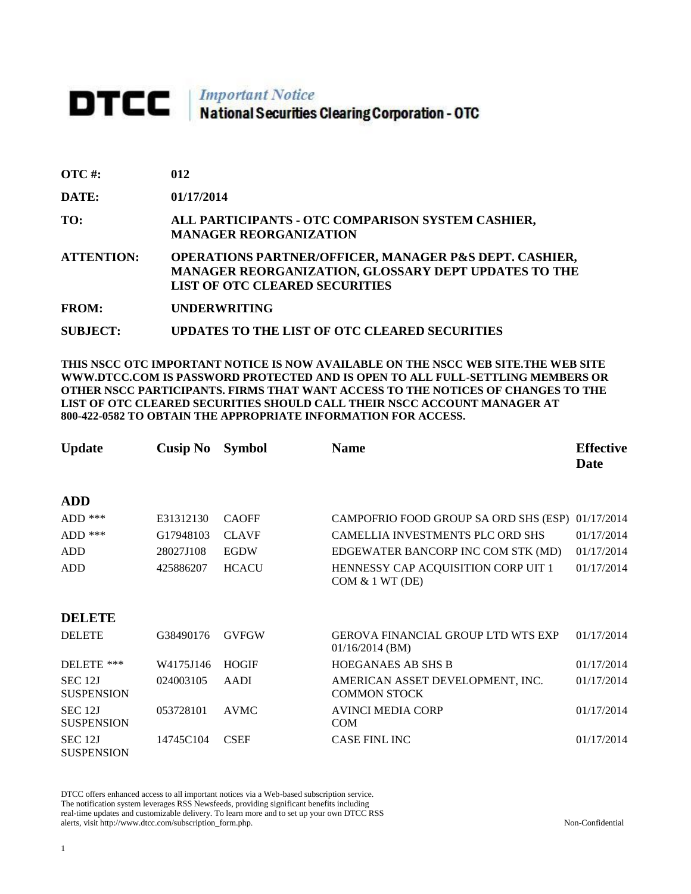## **DTCC** National Securities Clearing Corporation - OTC

| OTC #:            | 012                                                                                                                                                                |
|-------------------|--------------------------------------------------------------------------------------------------------------------------------------------------------------------|
| <b>DATE:</b>      | 01/17/2014                                                                                                                                                         |
| TO:               | ALL PARTICIPANTS - OTC COMPARISON SYSTEM CASHIER,<br><b>MANAGER REORGANIZATION</b>                                                                                 |
| <b>ATTENTION:</b> | <b>OPERATIONS PARTNER/OFFICER, MANAGER P&amp;S DEPT. CASHIER,</b><br>MANAGER REORGANIZATION, GLOSSARY DEPT UPDATES TO THE<br><b>LIST OF OTC CLEARED SECURITIES</b> |
| FROM:             | <b>UNDERWRITING</b>                                                                                                                                                |
|                   |                                                                                                                                                                    |

**SUBJECT: UPDATES TO THE LIST OF OTC CLEARED SECURITIES**

**THIS NSCC OTC IMPORTANT NOTICE IS NOW AVAILABLE ON THE NSCC WEB SITE.THE WEB SITE WWW.DTCC.COM IS PASSWORD PROTECTED AND IS OPEN TO ALL FULL-SETTLING MEMBERS OR OTHER NSCC PARTICIPANTS. FIRMS THAT WANT ACCESS TO THE NOTICES OF CHANGES TO THE LIST OF OTC CLEARED SECURITIES SHOULD CALL THEIR NSCC ACCOUNT MANAGER AT 800-422-0582 TO OBTAIN THE APPROPRIATE INFORMATION FOR ACCESS.** 

| <b>Update</b>                           | Cusip No  | <b>Symbol</b> | <b>Name</b>                                                    | <b>Effective</b><br>Date |
|-----------------------------------------|-----------|---------------|----------------------------------------------------------------|--------------------------|
| <b>ADD</b>                              |           |               |                                                                |                          |
| ADD ***                                 | E31312130 | <b>CAOFF</b>  | CAMPOFRIO FOOD GROUP SA ORD SHS (ESP)                          | 01/17/2014               |
| $ADD$ ***                               | G17948103 | <b>CLAVF</b>  | CAMELLIA INVESTMENTS PLC ORD SHS                               | 01/17/2014               |
| <b>ADD</b>                              | 28027J108 | <b>EGDW</b>   | EDGEWATER BANCORP INC COM STK (MD)                             | 01/17/2014               |
| <b>ADD</b>                              | 425886207 | <b>HCACU</b>  | HENNESSY CAP ACQUISITION CORP UIT 1<br>COM & 1 WT (DE)         | 01/17/2014               |
| <b>DELETE</b>                           |           |               |                                                                |                          |
| <b>DELETE</b>                           | G38490176 | <b>GVFGW</b>  | <b>GEROVA FINANCIAL GROUP LTD WTS EXP</b><br>$01/16/2014$ (BM) | 01/17/2014               |
| DELETE ***                              | W4175J146 | <b>HOGIF</b>  | <b>HOEGANAES AB SHS B</b>                                      | 01/17/2014               |
| <b>SEC 12J</b><br><b>SUSPENSION</b>     | 024003105 | AADI          | AMERICAN ASSET DEVELOPMENT, INC.<br><b>COMMON STOCK</b>        | 01/17/2014               |
| SEC <sub>12J</sub><br><b>SUSPENSION</b> | 053728101 | <b>AVMC</b>   | <b>AVINCI MEDIA CORP</b><br><b>COM</b>                         | 01/17/2014               |
| <b>SEC 12J</b><br><b>SUSPENSION</b>     | 14745C104 | <b>CSEF</b>   | <b>CASE FINL INC</b>                                           | 01/17/2014               |

DTCC offers enhanced access to all important notices via a Web-based subscription service. The notification system leverages RSS Newsfeeds, providing significant benefits including real-time updates and customizable delivery. To learn more and to set up your own DTCC RSS alerts, visit http://www.dtcc.com/subscription\_form.php. Non-Confidential